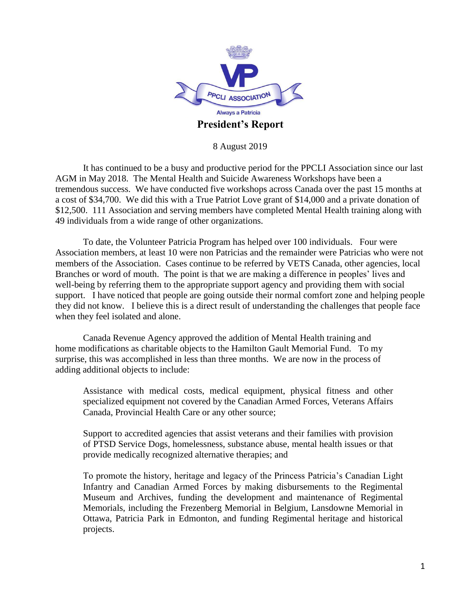

8 August 2019

It has continued to be a busy and productive period for the PPCLI Association since our last AGM in May 2018. The Mental Health and Suicide Awareness Workshops have been a tremendous success. We have conducted five workshops across Canada over the past 15 months at a cost of \$34,700. We did this with a True Patriot Love grant of \$14,000 and a private donation of \$12,500. 111 Association and serving members have completed Mental Health training along with 49 individuals from a wide range of other organizations.

To date, the Volunteer Patricia Program has helped over 100 individuals. Four were Association members, at least 10 were non Patricias and the remainder were Patricias who were not members of the Association. Cases continue to be referred by VETS Canada, other agencies, local Branches or word of mouth. The point is that we are making a difference in peoples' lives and well-being by referring them to the appropriate support agency and providing them with social support. I have noticed that people are going outside their normal comfort zone and helping people they did not know. I believe this is a direct result of understanding the challenges that people face when they feel isolated and alone.

Canada Revenue Agency approved the addition of Mental Health training and home modifications as charitable objects to the Hamilton Gault Memorial Fund. To my surprise, this was accomplished in less than three months. We are now in the process of adding additional objects to include:

Assistance with medical costs, medical equipment, physical fitness and other specialized equipment not covered by the Canadian Armed Forces, Veterans Affairs Canada, Provincial Health Care or any other source;

Support to accredited agencies that assist veterans and their families with provision of PTSD Service Dogs, homelessness, substance abuse, mental health issues or that provide medically recognized alternative therapies; and

To promote the history, heritage and legacy of the Princess Patricia's Canadian Light Infantry and Canadian Armed Forces by making disbursements to the Regimental Museum and Archives, funding the development and maintenance of Regimental Memorials, including the Frezenberg Memorial in Belgium, Lansdowne Memorial in Ottawa, Patricia Park in Edmonton, and funding Regimental heritage and historical projects.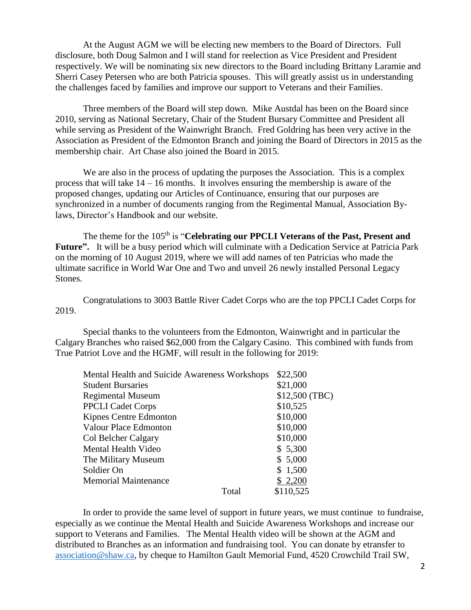At the August AGM we will be electing new members to the Board of Directors. Full disclosure, both Doug Salmon and I will stand for reelection as Vice President and President respectively. We will be nominating six new directors to the Board including Brittany Laramie and Sherri Casey Petersen who are both Patricia spouses. This will greatly assist us in understanding the challenges faced by families and improve our support to Veterans and their Families.

Three members of the Board will step down. Mike Austdal has been on the Board since 2010, serving as National Secretary, Chair of the Student Bursary Committee and President all while serving as President of the Wainwright Branch. Fred Goldring has been very active in the Association as President of the Edmonton Branch and joining the Board of Directors in 2015 as the membership chair. Art Chase also joined the Board in 2015.

We are also in the process of updating the purposes the Association. This is a complex process that will take  $14 - 16$  months. It involves ensuring the membership is aware of the proposed changes, updating our Articles of Continuance, ensuring that our purposes are synchronized in a number of documents ranging from the Regimental Manual, Association Bylaws, Director's Handbook and our website.

The theme for the 105<sup>th</sup> is "**Celebrating our PPCLI Veterans of the Past, Present and Future".** It will be a busy period which will culminate with a Dedication Service at Patricia Park on the morning of 10 August 2019, where we will add names of ten Patricias who made the ultimate sacrifice in World War One and Two and unveil 26 newly installed Personal Legacy Stones.

Congratulations to 3003 Battle River Cadet Corps who are the top PPCLI Cadet Corps for 2019.

Special thanks to the volunteers from the Edmonton, Wainwright and in particular the Calgary Branches who raised \$62,000 from the Calgary Casino. This combined with funds from True Patriot Love and the HGMF, will result in the following for 2019:

| \$22,500       |
|----------------|
| \$21,000       |
| \$12,500 (TBC) |
| \$10,525       |
| \$10,000       |
| \$10,000       |
| \$10,000       |
| \$5,300        |
| \$5,000        |
| \$1,500        |
| \$2,200        |
| \$110,525      |
|                |

In order to provide the same level of support in future years, we must continue to fundraise, especially as we continue the Mental Health and Suicide Awareness Workshops and increase our support to Veterans and Families. The Mental Health video will be shown at the AGM and distributed to Branches as an information and fundraising tool. You can donate by etransfer to [association@shaw.ca,](mailto:association@shaw.ca) by cheque to Hamilton Gault Memorial Fund, 4520 Crowchild Trail SW,